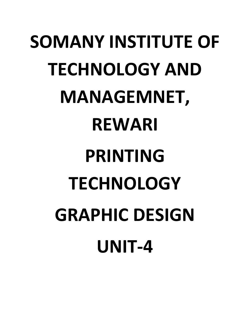# **SOMANY INSTITUTE OF TECHNOLOGY AND MANAGEMNET, REWARI PRINTING TECHNOLOGY GRAPHIC DESIGN UNIT-4**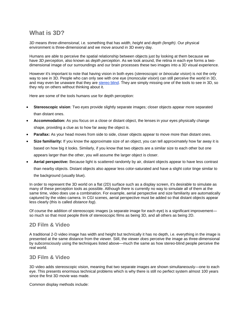#### **What is 3D?**

*3D* means *three-dimensional*, i.e. something that has *width*, *height* and *depth (length)*. Our physical environment is three-dimensional and we move around in 3D every day.

Humans are able to perceive the spatial relationship between objects just by looking at them because we have *3D perception*, also known as *depth perception*. As we look around, the retina in each eye forms a twodimensional image of our surroundings and our brain processes these two images into a 3D visual experience.

However it's important to note that having vision in both eyes (*stereoscopic* or *binocular vision*) is not the only way to see in 3D. People who can only see with one eye (*monocular vision*) can still perceive the world in 3D, and may even be unaware that they are [stereo blind.](https://www.mediacollege.com/3d/depth-perception/stereoblind.html) They are simply missing one of the tools to see in 3D, so they rely on others without thinking about it.

Here are some of the tools humans use for depth perception:

- **Stereoscopic vision**: Two eyes provide slightly separate images; closer objects appear more separated than distant ones.
- **Accommodation:** As you focus on a close or distant object, the lenses in your eyes physically change shape, providing a clue as to how far away the object is.
- **Parallax:** As your head moves from side to side, closer objects appear to move more than distant ones.
- **Size familiarity:** If you know the approximate size of an object, you can tell approximately how far away it is based on how big it looks. Similarly, if you know that two objects are a similar size to each other but one appears larger than the other, you will assume the larger object is closer.
- **Aerial perspective:** Because light is scattered randomly by air, distant objects appear to have less contrast than nearby objects. Distant objects also appear less color-saturated and have a slight color tinge similar to the background (usually blue).

In order to represent the 3D world on a flat (2D) surface such as a display screen, it's desirable to simulate as many of these perception tools as possible. Although there is currently no way to simulate all of them at the same time, video does use a combination. For example, aerial perspective and size familiarity are automatically captured by the video camera. In CGI scenes, aerial perspective must be added so that distant objects appear less clearly (this is called *distance fog*).

Of course the addition of stereoscopic images (a separate image for each eye) is a significant improvement so much so that most people think of stereoscopic films as being 3D, and all others as being 2D.

#### **2D Film & Video**

A traditional 2-D video image has width and height but technically it has no depth, i.e. everything in the image is presented at the same distance from the viewer. Still, the viewer *does* perceive the image as three-dimensional by subconsciously using the techniques listed above—much the same as how stereo-blind people perceive the real world.

#### **3D Film & Video**

3D video adds stereoscopic vision, meaning that two separate images are shown simultaneously—one to each eye. This presents enormous technical problems which is why there is still no perfect system almost 100 years since the first 3D movie was made.

Common display methods include: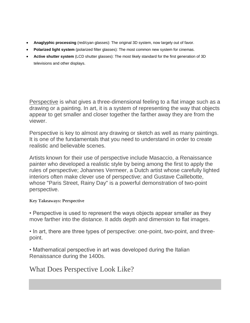- **Anaglyphic processing** (red/cyan glasses): The original 3D system, now largely out of favor.
- **Polarized light system** (polarized filter glasses): The most common new system for cinemas.
- **Active shutter system** (LCD shutter glasses): The most likely standard for the first generation of 3D televisions and other displays.

[Perspective](https://www.thesprucecrafts.com/perspective-in-paintings-2578098) is what gives a three-dimensional feeling to a flat image such as a drawing or a painting. In art, it is a system of representing the way that objects appear to get smaller and closer together the farther away they are from the viewer.

Perspective is key to almost any drawing or sketch as well as many paintings. It is one of the fundamentals that you need to understand in order to create realistic and believable scenes.

Artists known for their use of perspective include Masaccio, a Renaissance painter who developed a realistic style by being among the first to apply the rules of perspective; Johannes Vermeer, a Dutch artist whose carefully lighted interiors often make clever use of perspective; and Gustave Caillebotte, whose "Paris Street, Rainy Day" is a powerful demonstration of two-point perspective.

**Key Takeaways: Perspective**

• Perspective is used to represent the ways objects appear smaller as they move farther into the distance. It adds depth and dimension to flat images.

• In art, there are three types of perspective: one-point, two-point, and threepoint.

• Mathematical perspective in art was developed during the Italian Renaissance during the 1400s.

## What Does Perspective Look Like?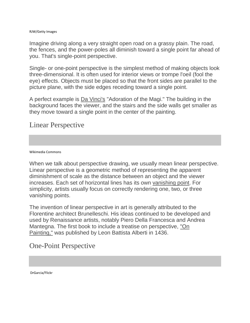#### RJW/Getty Images

Imagine driving along a very straight open road on a grassy plain. The road, the fences, and the power-poles all diminish toward a single point far ahead of you. That's single-point perspective.

Single- or one-point perspective is the simplest method of making objects look three-dimensional. It is often used for interior views or trompe l'oeil (fool the eye) effects. Objects must be placed so that the front sides are parallel to the picture plane, with the side edges receding toward a single point.

A perfect example is [Da Vinci's](https://www.liveabout.com/leonardo-da-vinci-2578230) "Adoration of the Magi." The building in the background faces the viewer, and the stairs and the side walls get smaller as they move toward a single point in the center of the painting.

### Linear Perspective

Wikimedia Commons

When we talk about perspective drawing, we usually mean linear perspective. Linear perspective is a geometric method of representing the apparent diminishment of scale as the distance between an object and the viewer increases. Each set of horizontal lines has its own [vanishing point.](https://www.liveabout.com/vanishing-point-drawing-definition-1123080) For simplicity, artists usually focus on correctly rendering one, two, or three vanishing points.

The invention of linear perspective in art is generally attributed to the Florentine architect Brunelleschi. His ideas continued to be developed and used by Renaissance artists, notably Piero Della Francesca and Andrea Mantegna. The first book to include a treatise on perspective, ["On](http://www.noteaccess.com/Texts/Alberti/index.htm)  [Painting,"](http://www.noteaccess.com/Texts/Alberti/index.htm) was published by Leon Battista Alberti in 1436.

## One-Point Perspective

DrGarcia/Flickr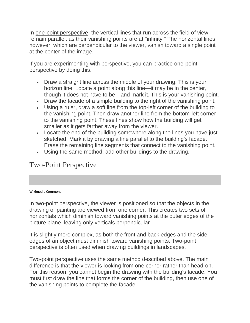In [one-point perspective,](https://www.thesprucecrafts.com/one-point-perspective-drawing-tutorial-1123412) the vertical lines that run across the field of view remain parallel, as their vanishing points are at "infinity." The horizontal lines, however, which are perpendicular to the viewer, vanish toward a single point at the center of the image.

If you are experimenting with perspective, you can practice one-point perspective by doing this:

- Draw a straight line across the middle of your drawing. This is your horizon line. Locate a point along this line—it may be in the center, though it does not have to be—and mark it. This is your vanishing point.
- Draw the facade of a simple building to the right of the vanishing point.
- Using a ruler, draw a soft line from the top-left corner of the building to the vanishing point. Then draw another line from the bottom-left corner to the vanishing point. These lines show how the building will get smaller as it gets farther away from the viewer.
- Locate the end of the building somewhere along the lines you have just sketched. Mark it by drawing a line parallel to the building's facade. Erase the remaining line segments that connect to the vanishing point.
- Using the same method, add other buildings to the drawing.

# Two-Point Perspective

Wikimedia Commons

In [two-point perspective,](https://www.thesprucecrafts.com/two-point-perspective-drawing-tutorial-1123413) the viewer is positioned so that the objects in the drawing or painting are viewed from one corner. This creates two sets of horizontals which diminish toward vanishing points at the outer edges of the picture plane, leaving only verticals perpendicular.

It is slightly more complex, as both the front and back edges and the side edges of an object must diminish toward vanishing points. Two-point perspective is often used when drawing buildings in landscapes.

Two-point perspective uses the same method described above. The main difference is that the viewer is looking from one corner rather than head-on. For this reason, you cannot begin the drawing with the building's facade. You must first draw the line that forms the corner of the building, then use one of the vanishing points to complete the facade.